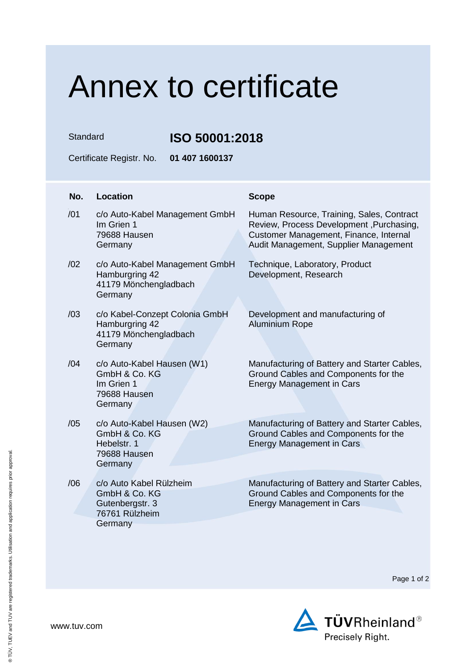## Annex to certificate

Standard **ISO 50001:2018**

Certificate Registr. No. **01 407 1600137**

| No. | Location                                                                                 | <b>Scope</b>                                                                                                                                                             |
|-----|------------------------------------------------------------------------------------------|--------------------------------------------------------------------------------------------------------------------------------------------------------------------------|
| /01 | c/o Auto-Kabel Management GmbH<br>Im Grien 1<br>79688 Hausen<br>Germany                  | Human Resource, Training, Sales, Contract<br>Review, Process Development, Purchasing,<br>Customer Management, Finance, Internal<br>Audit Management, Supplier Management |
| /02 | c/o Auto-Kabel Management GmbH<br>Hamburgring 42<br>41179 Mönchengladbach<br>Germany     | Technique, Laboratory, Product<br>Development, Research                                                                                                                  |
| /03 | c/o Kabel-Conzept Colonia GmbH<br>Hamburgring 42<br>41179 Mönchengladbach<br>Germany     | Development and manufacturing of<br><b>Aluminium Rope</b>                                                                                                                |
| /04 | c/o Auto-Kabel Hausen (W1)<br>GmbH & Co. KG<br>Im Grien 1<br>79688 Hausen<br>Germany     | Manufacturing of Battery and Starter Cables,<br>Ground Cables and Components for the<br><b>Energy Management in Cars</b>                                                 |
| /05 | c/o Auto-Kabel Hausen (W2)<br>GmbH & Co. KG<br>Hebelstr, 1<br>79688 Hausen<br>Germany    | Manufacturing of Battery and Starter Cables,<br>Ground Cables and Components for the<br><b>Energy Management in Cars</b>                                                 |
| /06 | c/o Auto Kabel Rülzheim<br>GmbH & Co. KG<br>Gutenbergstr. 3<br>76761 Rülzheim<br>Germany | Manufacturing of Battery and Starter Cables,<br>Ground Cables and Components for the<br><b>Energy Management in Cars</b>                                                 |

Page 1 of 2